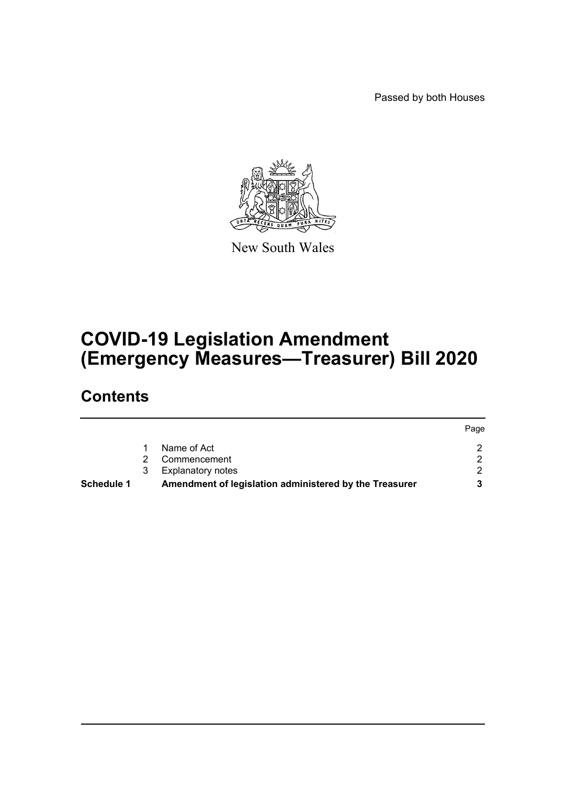Passed by both Houses



New South Wales

# **COVID-19 Legislation Amendment (Emergency Measures—Treasurer) Bill 2020**

# **Contents**

|                   |   |                                                        | Page |
|-------------------|---|--------------------------------------------------------|------|
|                   |   | Name of Act                                            |      |
|                   |   | Commencement                                           |      |
|                   | 3 | <b>Explanatory notes</b>                               |      |
| <b>Schedule 1</b> |   | Amendment of legislation administered by the Treasurer |      |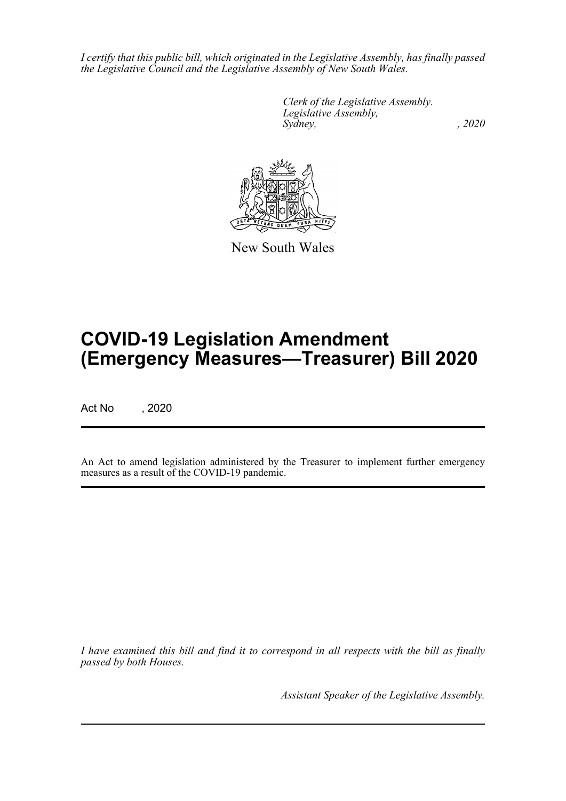*I certify that this public bill, which originated in the Legislative Assembly, has finally passed the Legislative Council and the Legislative Assembly of New South Wales.*

> *Clerk of the Legislative Assembly. Legislative Assembly, Sydney, , 2020*



New South Wales

# **COVID-19 Legislation Amendment (Emergency Measures—Treasurer) Bill 2020**

Act No , 2020

An Act to amend legislation administered by the Treasurer to implement further emergency measures as a result of the COVID-19 pandemic.

*I have examined this bill and find it to correspond in all respects with the bill as finally passed by both Houses.*

*Assistant Speaker of the Legislative Assembly.*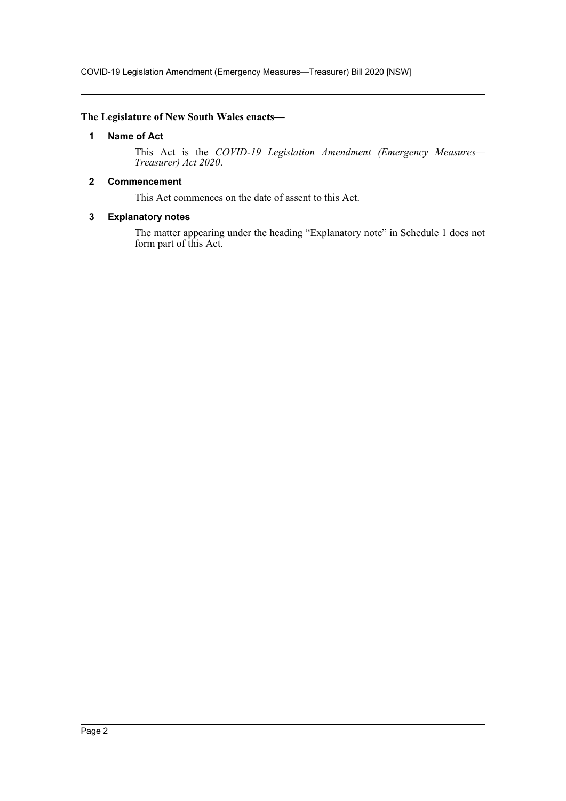### <span id="page-2-0"></span>**The Legislature of New South Wales enacts—**

### **1 Name of Act**

This Act is the *COVID-19 Legislation Amendment (Emergency Measures— Treasurer) Act 2020*.

### <span id="page-2-1"></span>**2 Commencement**

This Act commences on the date of assent to this Act.

### <span id="page-2-2"></span>**3 Explanatory notes**

The matter appearing under the heading "Explanatory note" in Schedule 1 does not form part of this Act.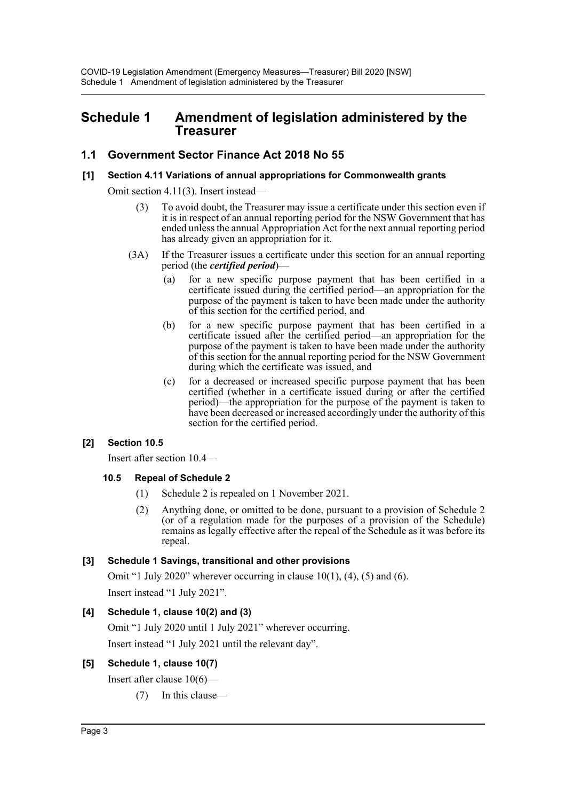### <span id="page-3-0"></span>**Schedule 1 Amendment of legislation administered by the Treasurer**

### **1.1 Government Sector Finance Act 2018 No 55**

### **[1] Section 4.11 Variations of annual appropriations for Commonwealth grants**

Omit section 4.11(3). Insert instead—

- (3) To avoid doubt, the Treasurer may issue a certificate under this section even if it is in respect of an annual reporting period for the NSW Government that has ended unless the annual Appropriation Act for the next annual reporting period has already given an appropriation for it.
- (3A) If the Treasurer issues a certificate under this section for an annual reporting period (the *certified period*)—
	- (a) for a new specific purpose payment that has been certified in a certificate issued during the certified period—an appropriation for the purpose of the payment is taken to have been made under the authority of this section for the certified period, and
	- (b) for a new specific purpose payment that has been certified in a certificate issued after the certified period—an appropriation for the purpose of the payment is taken to have been made under the authority of this section for the annual reporting period for the NSW Government during which the certificate was issued, and
	- (c) for a decreased or increased specific purpose payment that has been certified (whether in a certificate issued during or after the certified period)—the appropriation for the purpose of the payment is taken to have been decreased or increased accordingly under the authority of this section for the certified period.

### **[2] Section 10.5**

Insert after section 10.4—

### **10.5 Repeal of Schedule 2**

- (1) Schedule 2 is repealed on 1 November 2021.
- (2) Anything done, or omitted to be done, pursuant to a provision of Schedule 2 (or of a regulation made for the purposes of a provision of the Schedule) remains as legally effective after the repeal of the Schedule as it was before its repeal.

### **[3] Schedule 1 Savings, transitional and other provisions**

Omit "1 July 2020" wherever occurring in clause  $10(1)$ ,  $(4)$ ,  $(5)$  and  $(6)$ .

Insert instead "1 July 2021".

### **[4] Schedule 1, clause 10(2) and (3)**

Omit "1 July 2020 until 1 July 2021" wherever occurring.

Insert instead "1 July 2021 until the relevant day".

### **[5] Schedule 1, clause 10(7)**

Insert after clause 10(6)—

(7) In this clause—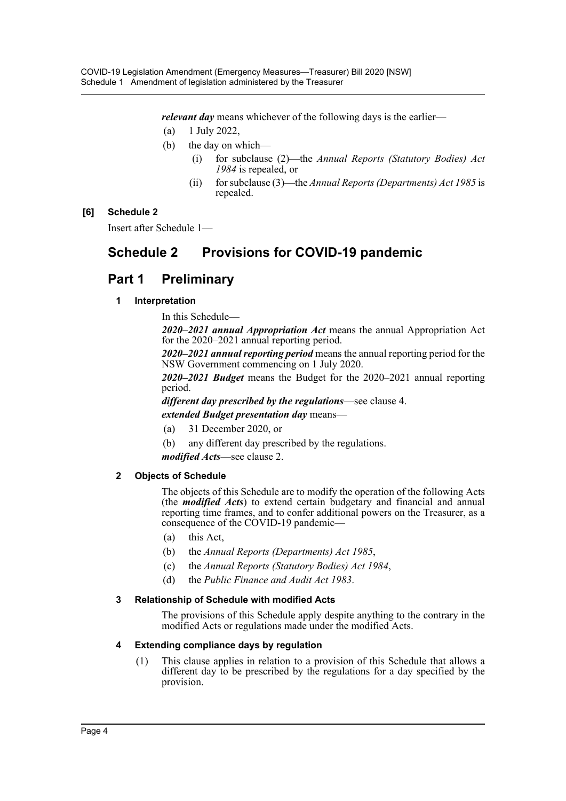*relevant day* means whichever of the following days is the earlier—

- (a) 1 July 2022,
- (b) the day on which—
	- (i) for subclause (2)—the *Annual Reports (Statutory Bodies) Act 1984* is repealed, or
	- (ii) for subclause (3)—the *Annual Reports (Departments) Act 1985* is repealed.

### **[6] Schedule 2**

Insert after Schedule 1—

# **Schedule 2 Provisions for COVID-19 pandemic**

## **Part 1 Preliminary**

### **1 Interpretation**

In this Schedule—

*2020–2021 annual Appropriation Act* means the annual Appropriation Act for the 2020–2021 annual reporting period.

*2020–2021 annual reporting period* means the annual reporting period for the NSW Government commencing on 1 July 2020.

*2020–2021 Budget* means the Budget for the 2020–2021 annual reporting period.

*different day prescribed by the regulations*—see clause 4.

*extended Budget presentation day* means—

- (a) 31 December 2020, or
- (b) any different day prescribed by the regulations.

*modified Acts*—see clause 2.

### **2 Objects of Schedule**

The objects of this Schedule are to modify the operation of the following Acts (the *modified Acts*) to extend certain budgetary and financial and annual reporting time frames, and to confer additional powers on the Treasurer, as a consequence of the COVID-19 pandemic—

- (a) this Act,
- (b) the *Annual Reports (Departments) Act 1985*,
- (c) the *Annual Reports (Statutory Bodies) Act 1984*,
- (d) the *Public Finance and Audit Act 1983*.

### **3 Relationship of Schedule with modified Acts**

The provisions of this Schedule apply despite anything to the contrary in the modified Acts or regulations made under the modified Acts.

### **4 Extending compliance days by regulation**

(1) This clause applies in relation to a provision of this Schedule that allows a different day to be prescribed by the regulations for a day specified by the provision.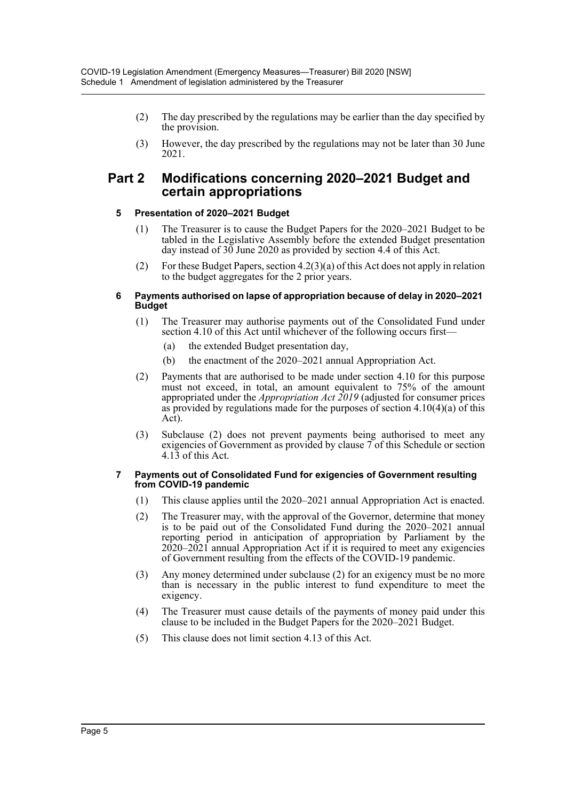- (2) The day prescribed by the regulations may be earlier than the day specified by the provision.
- (3) However, the day prescribed by the regulations may not be later than 30 June 2021.

### **Part 2 Modifications concerning 2020–2021 Budget and certain appropriations**

### **5 Presentation of 2020–2021 Budget**

- (1) The Treasurer is to cause the Budget Papers for the 2020–2021 Budget to be tabled in the Legislative Assembly before the extended Budget presentation day instead of 30 June 2020 as provided by section 4.4 of this Act.
- (2) For these Budget Papers, section 4.2(3)(a) of this Act does not apply in relation to the budget aggregates for the 2 prior years.

#### **6 Payments authorised on lapse of appropriation because of delay in 2020–2021 Budget**

- (1) The Treasurer may authorise payments out of the Consolidated Fund under section 4.10 of this Act until whichever of the following occurs first—
	- (a) the extended Budget presentation day,
	- (b) the enactment of the 2020–2021 annual Appropriation Act.
- (2) Payments that are authorised to be made under section 4.10 for this purpose must not exceed, in total, an amount equivalent to 75% of the amount appropriated under the *Appropriation Act 2019* (adjusted for consumer prices as provided by regulations made for the purposes of section 4.10(4)(a) of this Act).
- (3) Subclause (2) does not prevent payments being authorised to meet any exigencies of Government as provided by clause 7 of this Schedule or section 4.13 of this Act.

#### **7 Payments out of Consolidated Fund for exigencies of Government resulting from COVID-19 pandemic**

- (1) This clause applies until the 2020–2021 annual Appropriation Act is enacted.
- (2) The Treasurer may, with the approval of the Governor, determine that money is to be paid out of the Consolidated Fund during the 2020–2021 annual reporting period in anticipation of appropriation by Parliament by the  $2020-2021$  annual Appropriation Act if it is required to meet any exigencies of Government resulting from the effects of the COVID-19 pandemic.
- (3) Any money determined under subclause (2) for an exigency must be no more than is necessary in the public interest to fund expenditure to meet the exigency.
- (4) The Treasurer must cause details of the payments of money paid under this clause to be included in the Budget Papers for the 2020–2021 Budget.
- (5) This clause does not limit section 4.13 of this Act.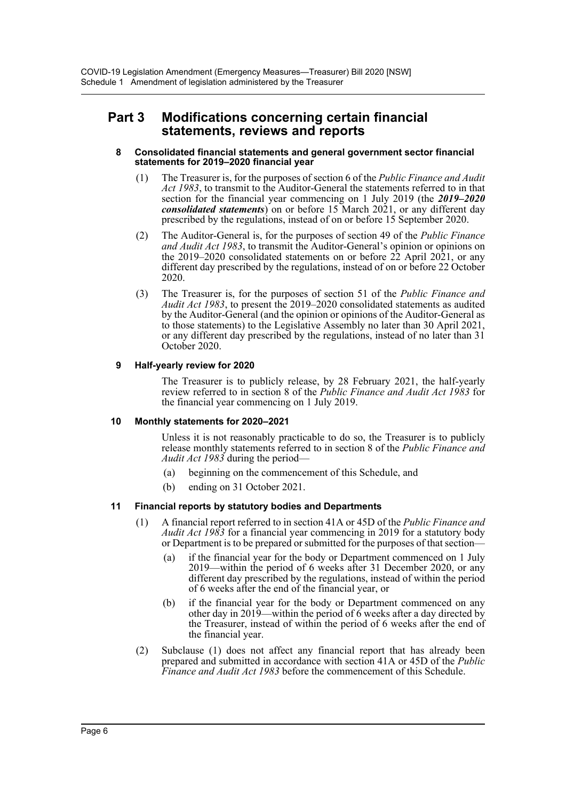### **Part 3 Modifications concerning certain financial statements, reviews and reports**

#### **8 Consolidated financial statements and general government sector financial statements for 2019–2020 financial year**

- (1) The Treasurer is, for the purposes of section 6 of the *Public Finance and Audit Act 1983*, to transmit to the Auditor-General the statements referred to in that section for the financial year commencing on 1 July 2019 (the *2019–2020 consolidated statements*) on or before 15 March 2021, or any different day prescribed by the regulations, instead of on or before 15 September 2020.
- (2) The Auditor-General is, for the purposes of section 49 of the *Public Finance and Audit Act 1983*, to transmit the Auditor-General's opinion or opinions on the 2019–2020 consolidated statements on or before 22 April 2021, or any different day prescribed by the regulations, instead of on or before 22 October 2020.
- (3) The Treasurer is, for the purposes of section 51 of the *Public Finance and Audit Act 1983*, to present the 2019–2020 consolidated statements as audited by the Auditor-General (and the opinion or opinions of the Auditor-General as to those statements) to the Legislative Assembly no later than 30 April 2021, or any different day prescribed by the regulations, instead of no later than 31 October 2020.

### **9 Half-yearly review for 2020**

The Treasurer is to publicly release, by 28 February 2021, the half-yearly review referred to in section 8 of the *Public Finance and Audit Act 1983* for the financial year commencing on 1 July 2019.

### **10 Monthly statements for 2020–2021**

Unless it is not reasonably practicable to do so, the Treasurer is to publicly release monthly statements referred to in section 8 of the *Public Finance and Audit Act 1983* during the period—

- (a) beginning on the commencement of this Schedule, and
- (b) ending on 31 October 2021.

### **11 Financial reports by statutory bodies and Departments**

- (1) A financial report referred to in section 41A or 45D of the *Public Finance and Audit Act 1983* for a financial year commencing in 2019 for a statutory body or Department is to be prepared or submitted for the purposes of that section—
	- (a) if the financial year for the body or Department commenced on 1 July 2019—within the period of 6 weeks after 31 December 2020, or any different day prescribed by the regulations, instead of within the period of 6 weeks after the end of the financial year, or
	- (b) if the financial year for the body or Department commenced on any other day in 2019—within the period of 6 weeks after a day directed by the Treasurer, instead of within the period of 6 weeks after the end of the financial year.
- (2) Subclause (1) does not affect any financial report that has already been prepared and submitted in accordance with section 41A or 45D of the *Public Finance and Audit Act 1983* before the commencement of this Schedule.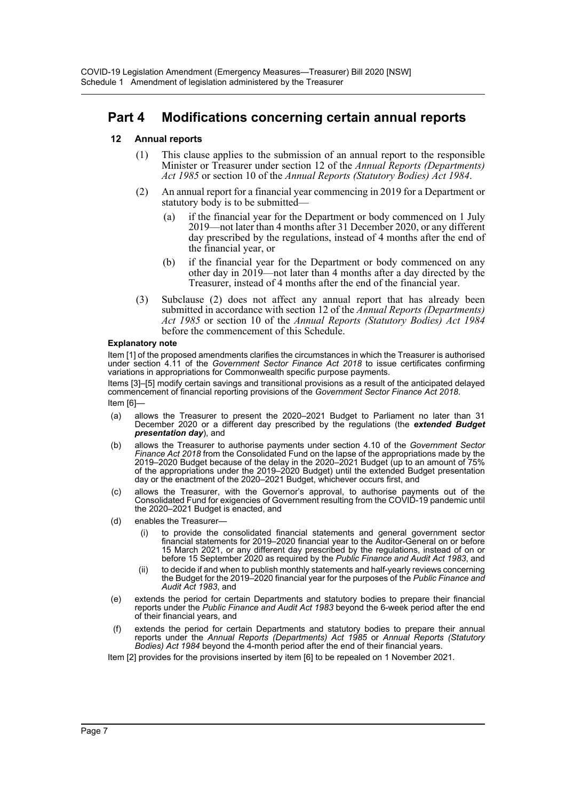## **Part 4 Modifications concerning certain annual reports**

### **12 Annual reports**

- (1) This clause applies to the submission of an annual report to the responsible Minister or Treasurer under section 12 of the *Annual Reports (Departments) Act 1985* or section 10 of the *Annual Reports (Statutory Bodies) Act 1984*.
- (2) An annual report for a financial year commencing in 2019 for a Department or statutory body is to be submitted—
	- (a) if the financial year for the Department or body commenced on 1 July 2019—not later than 4 months after 31 December 2020, or any different day prescribed by the regulations, instead of 4 months after the end of the financial year, or
	- (b) if the financial year for the Department or body commenced on any other day in 2019—not later than 4 months after a day directed by the Treasurer, instead of 4 months after the end of the financial year.
- (3) Subclause (2) does not affect any annual report that has already been submitted in accordance with section 12 of the *Annual Reports (Departments) Act 1985* or section 10 of the *Annual Reports (Statutory Bodies) Act 1984* before the commencement of this Schedule.

#### **Explanatory note**

Item [1] of the proposed amendments clarifies the circumstances in which the Treasurer is authorised under section 4.11 of the *Government Sector Finance Act 2018* to issue certificates confirming variations in appropriations for Commonwealth specific purpose payments.

Items [3]–[5] modify certain savings and transitional provisions as a result of the anticipated delayed commencement of financial reporting provisions of the *Government Sector Finance Act 2018*.

Item [6]—

- (a) allows the Treasurer to present the 2020–2021 Budget to Parliament no later than 31 December 2020 or a different day prescribed by the regulations (the *extended Budget presentation day*), and
- (b) allows the Treasurer to authorise payments under section 4.10 of the *Government Sector Finance Act 2018* from the Consolidated Fund on the lapse of the appropriations made by the 2019–2020 Budget because of the delay in the 2020–2021 Budget (up to an amount of 75% of the appropriations under the 2019–2020 Budget) until the extended Budget presentation day or the enactment of the 2020–2021 Budget, whichever occurs first, and
- (c) allows the Treasurer, with the Governor's approval, to authorise payments out of the Consolidated Fund for exigencies of Government resulting from the COVID-19 pandemic until the 2020–2021 Budget is enacted, and
- (d) enables the Treasurer
	- to provide the consolidated financial statements and general government sector financial statements for 2019–2020 financial year to the Auditor-General on or before 15 March 2021, or any different day prescribed by the regulations, instead of on or before 15 September 2020 as required by the *Public Finance and Audit Act 1983*, and
	- (ii) to decide if and when to publish monthly statements and half-yearly reviews concerning the Budget for the 2019–2020 financial year for the purposes of the *Public Finance and Audit Act 1983*, and
- (e) extends the period for certain Departments and statutory bodies to prepare their financial reports under the *Public Finance and Audit Act 1983* beyond the 6-week period after the end of their financial years, and
- (f) extends the period for certain Departments and statutory bodies to prepare their annual reports under the *Annual Reports (Departments) Act 1985* or *Annual Reports (Statutory Bodies) Act 1984* beyond the 4-month period after the end of their financial years.

Item [2] provides for the provisions inserted by item [6] to be repealed on 1 November 2021.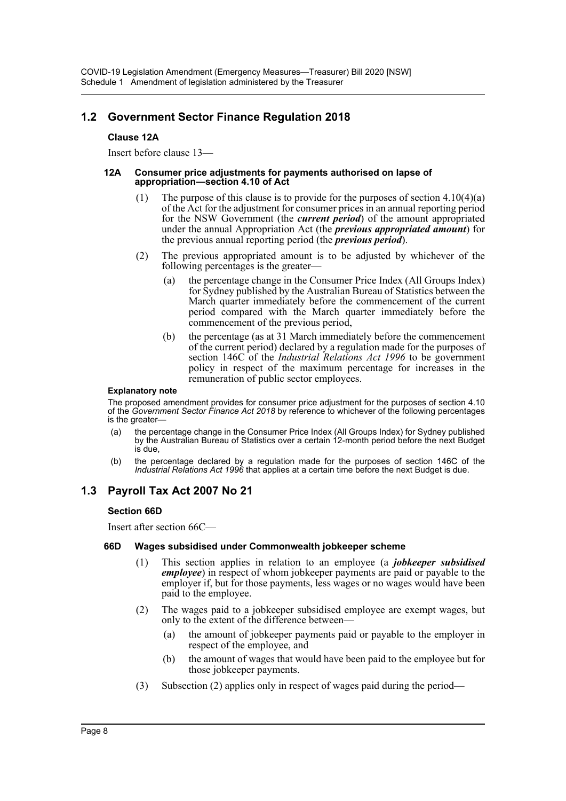### **1.2 Government Sector Finance Regulation 2018**

### **Clause 12A**

Insert before clause 13—

#### **12A Consumer price adjustments for payments authorised on lapse of appropriation—section 4.10 of Act**

- (1) The purpose of this clause is to provide for the purposes of section  $4.10(4)(a)$ of the Act for the adjustment for consumer prices in an annual reporting period for the NSW Government (the *current period*) of the amount appropriated under the annual Appropriation Act (the *previous appropriated amount*) for the previous annual reporting period (the *previous period*).
- (2) The previous appropriated amount is to be adjusted by whichever of the following percentages is the greater—
	- (a) the percentage change in the Consumer Price Index (All Groups Index) for Sydney published by the Australian Bureau of Statistics between the March quarter immediately before the commencement of the current period compared with the March quarter immediately before the commencement of the previous period,
	- (b) the percentage (as at 31 March immediately before the commencement of the current period) declared by a regulation made for the purposes of section 146C of the *Industrial Relations Act 1996* to be government policy in respect of the maximum percentage for increases in the remuneration of public sector employees.

#### **Explanatory note**

The proposed amendment provides for consumer price adjustment for the purposes of section 4.10 of the *Government Sector Finance Act 2018* by reference to whichever of the following percentages is the greater—

- the percentage change in the Consumer Price Index (All Groups Index) for Sydney published by the Australian Bureau of Statistics over a certain 12-month period before the next Budget is due,
- (b) the percentage declared by a regulation made for the purposes of section 146C of the *Industrial Relations Act 1996* that applies at a certain time before the next Budget is due.

### **1.3 Payroll Tax Act 2007 No 21**

### **Section 66D**

Insert after section 66C—

### **66D Wages subsidised under Commonwealth jobkeeper scheme**

- (1) This section applies in relation to an employee (a *jobkeeper subsidised employee*) in respect of whom jobkeeper payments are paid or payable to the employer if, but for those payments, less wages or no wages would have been paid to the employee.
- (2) The wages paid to a jobkeeper subsidised employee are exempt wages, but only to the extent of the difference between—
	- (a) the amount of jobkeeper payments paid or payable to the employer in respect of the employee, and
	- (b) the amount of wages that would have been paid to the employee but for those jobkeeper payments.
- (3) Subsection (2) applies only in respect of wages paid during the period—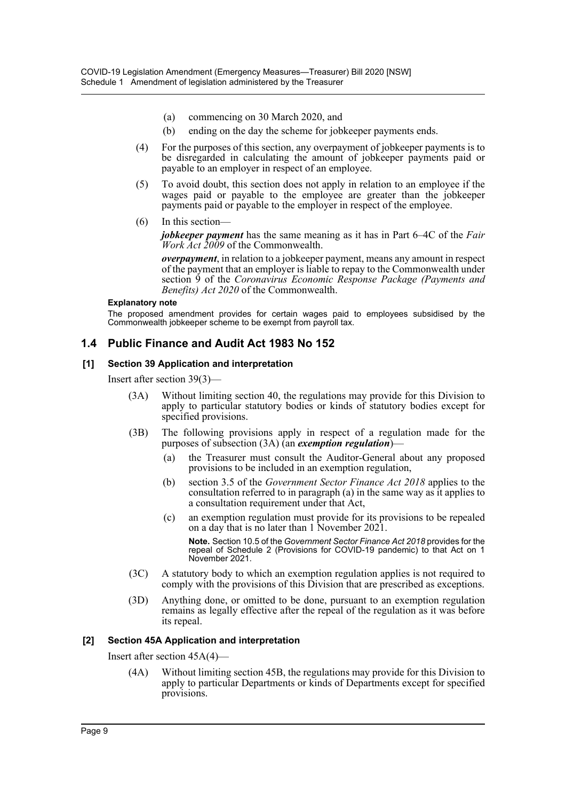- (a) commencing on 30 March 2020, and
- (b) ending on the day the scheme for jobkeeper payments ends.
- (4) For the purposes of this section, any overpayment of jobkeeper payments is to be disregarded in calculating the amount of jobkeeper payments paid or payable to an employer in respect of an employee.
- (5) To avoid doubt, this section does not apply in relation to an employee if the wages paid or payable to the employee are greater than the jobkeeper payments paid or payable to the employer in respect of the employee.
- (6) In this section—

*jobkeeper payment* has the same meaning as it has in Part 6–4C of the *Fair Work Act 2009* of the Commonwealth.

*overpayment*, in relation to a jobkeeper payment, means any amount in respect of the payment that an employer is liable to repay to the Commonwealth under section 9 of the *Coronavirus Economic Response Package (Payments and Benefits) Act 2020* of the Commonwealth.

#### **Explanatory note**

The proposed amendment provides for certain wages paid to employees subsidised by the Commonwealth jobkeeper scheme to be exempt from payroll tax.

### **1.4 Public Finance and Audit Act 1983 No 152**

### **[1] Section 39 Application and interpretation**

Insert after section 39(3)—

- (3A) Without limiting section 40, the regulations may provide for this Division to apply to particular statutory bodies or kinds of statutory bodies except for specified provisions.
- (3B) The following provisions apply in respect of a regulation made for the purposes of subsection (3A) (an *exemption regulation*)—
	- (a) the Treasurer must consult the Auditor-General about any proposed provisions to be included in an exemption regulation,
	- (b) section 3.5 of the *Government Sector Finance Act 2018* applies to the consultation referred to in paragraph (a) in the same way as it applies to a consultation requirement under that Act,
	- (c) an exemption regulation must provide for its provisions to be repealed on a day that is no later than 1 November 2021.

**Note.** Section 10.5 of the *Government Sector Finance Act 2018* provides for the repeal of Schedule 2 (Provisions for COVID-19 pandemic) to that Act on 1 November 2021.

- (3C) A statutory body to which an exemption regulation applies is not required to comply with the provisions of this Division that are prescribed as exceptions.
- (3D) Anything done, or omitted to be done, pursuant to an exemption regulation remains as legally effective after the repeal of the regulation as it was before its repeal.

### **[2] Section 45A Application and interpretation**

Insert after section 45A(4)—

(4A) Without limiting section 45B, the regulations may provide for this Division to apply to particular Departments or kinds of Departments except for specified provisions.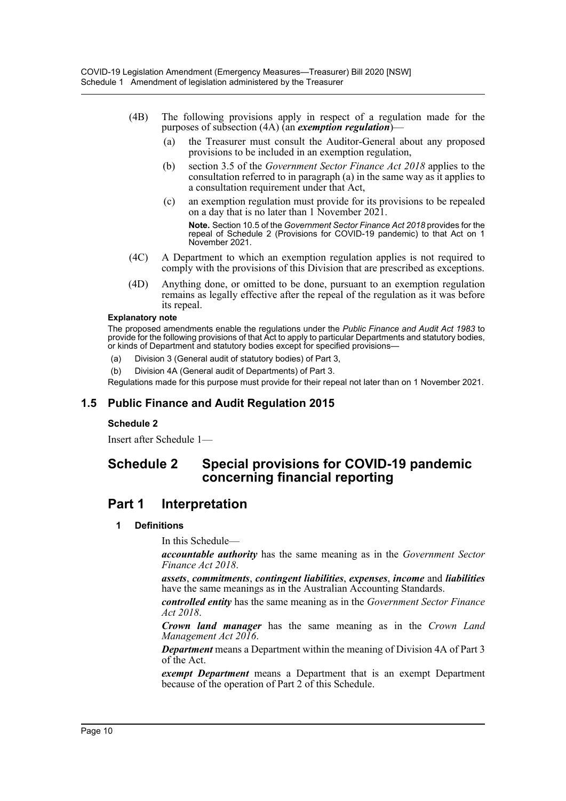- (4B) The following provisions apply in respect of a regulation made for the purposes of subsection (4A) (an *exemption regulation*)—
	- (a) the Treasurer must consult the Auditor-General about any proposed provisions to be included in an exemption regulation,
	- (b) section 3.5 of the *Government Sector Finance Act 2018* applies to the consultation referred to in paragraph (a) in the same way as it applies to a consultation requirement under that Act,
	- (c) an exemption regulation must provide for its provisions to be repealed on a day that is no later than 1 November 2021.

**Note.** Section 10.5 of the *Government Sector Finance Act 2018* provides for the repeal of Schedule 2 (Provisions for COVID-19 pandemic) to that Act on 1 November 2021.

- (4C) A Department to which an exemption regulation applies is not required to comply with the provisions of this Division that are prescribed as exceptions.
- (4D) Anything done, or omitted to be done, pursuant to an exemption regulation remains as legally effective after the repeal of the regulation as it was before its repeal.

#### **Explanatory note**

The proposed amendments enable the regulations under the *Public Finance and Audit Act 1983* to provide for the following provisions of that Act to apply to particular Departments and statutory bodies, or kinds of Department and statutory bodies except for specified provisions—

- (a) Division 3 (General audit of statutory bodies) of Part 3,
- (b) Division 4A (General audit of Departments) of Part 3.

Regulations made for this purpose must provide for their repeal not later than on 1 November 2021.

### **1.5 Public Finance and Audit Regulation 2015**

### **Schedule 2**

Insert after Schedule 1—

### **Schedule 2 Special provisions for COVID-19 pandemic concerning financial reporting**

### **Part 1 Interpretation**

### **1 Definitions**

In this Schedule—

*accountable authority* has the same meaning as in the *Government Sector Finance Act 2018*.

*assets*, *commitments*, *contingent liabilities*, *expenses*, *income* and *liabilities* have the same meanings as in the Australian Accounting Standards.

*controlled entity* has the same meaning as in the *Government Sector Finance Act 2018*.

*Crown land manager* has the same meaning as in the *Crown Land Management Act 2016*.

*Department* means a Department within the meaning of Division 4A of Part 3 of the Act.

*exempt Department* means a Department that is an exempt Department because of the operation of Part 2 of this Schedule.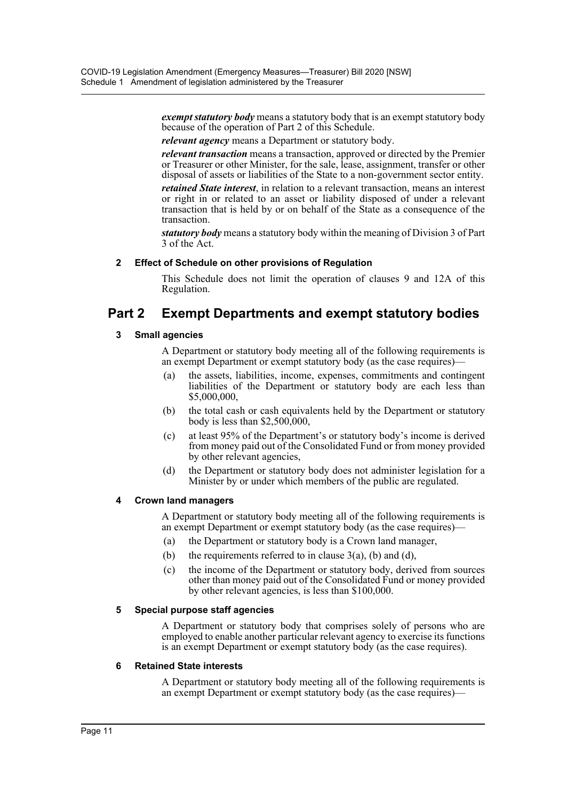*exempt statutory body* means a statutory body that is an exempt statutory body because of the operation of Part 2 of this Schedule.

*relevant agency* means a Department or statutory body.

*relevant transaction* means a transaction, approved or directed by the Premier or Treasurer or other Minister, for the sale, lease, assignment, transfer or other disposal of assets or liabilities of the State to a non-government sector entity.

*retained State interest*, in relation to a relevant transaction, means an interest or right in or related to an asset or liability disposed of under a relevant transaction that is held by or on behalf of the State as a consequence of the transaction.

*statutory body* means a statutory body within the meaning of Division 3 of Part 3 of the Act.

### **2 Effect of Schedule on other provisions of Regulation**

This Schedule does not limit the operation of clauses 9 and 12A of this Regulation.

# **Part 2 Exempt Departments and exempt statutory bodies**

### **3 Small agencies**

A Department or statutory body meeting all of the following requirements is an exempt Department or exempt statutory body (as the case requires)—

- (a) the assets, liabilities, income, expenses, commitments and contingent liabilities of the Department or statutory body are each less than \$5,000,000,
- (b) the total cash or cash equivalents held by the Department or statutory body is less than \$2,500,000,
- (c) at least 95% of the Department's or statutory body's income is derived from money paid out of the Consolidated Fund or from money provided by other relevant agencies,
- (d) the Department or statutory body does not administer legislation for a Minister by or under which members of the public are regulated.

### **4 Crown land managers**

A Department or statutory body meeting all of the following requirements is an exempt Department or exempt statutory body (as the case requires)—

- (a) the Department or statutory body is a Crown land manager,
- (b) the requirements referred to in clause  $3(a)$ , (b) and (d),
- (c) the income of the Department or statutory body, derived from sources other than money paid out of the Consolidated Fund or money provided by other relevant agencies, is less than \$100,000.

### **5 Special purpose staff agencies**

A Department or statutory body that comprises solely of persons who are employed to enable another particular relevant agency to exercise its functions is an exempt Department or exempt statutory body (as the case requires).

### **6 Retained State interests**

A Department or statutory body meeting all of the following requirements is an exempt Department or exempt statutory body (as the case requires)—